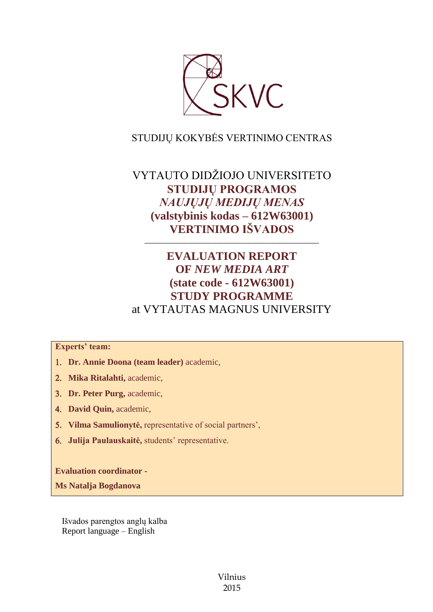

# STUDIJŲ KOKYBĖS VERTINIMO CENTRAS

# VYTAUTO DIDŽIOJO UNIVERSITETO **STUDIJŲ PROGRAMOS**  *NAUJŲJŲ MEDIJŲ MENAS* **(valstybinis kodas – 612W63001) VERTINIMO IŠVADOS**

# **EVALUATION REPORT OF** *NEW MEDIA ART* **(state code - 612W63001) STUDY PROGRAMME** at VYTAUTAS MAGNUS UNIVERSITY

––––––––––––––––––––––––––––––

## **Experts' team:**

- **Dr. Annie Doona (team leader)** academic,
- **Mika Ritalahti,** academic,
- **Dr. Peter Purg,** academic,
- **David Quin,** academic,
- **Vilma Samulionytė,** representative of social partners',
- **Julija Paulauskaitė,** students' representative.

**Evaluation coordinator -**

**Ms Natalja Bogdanova**

Išvados parengtos anglų kalba Report language – English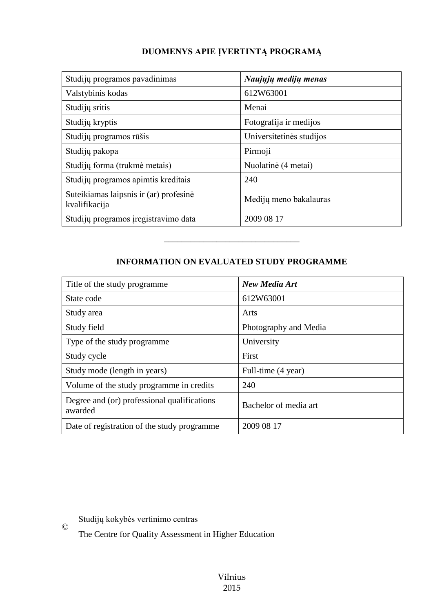## **DUOMENYS APIE ĮVERTINTĄ PROGRAMĄ**

| Studijų programos pavadinimas                           | Naujųjų medijų menas     |
|---------------------------------------------------------|--------------------------|
| Valstybinis kodas                                       | 612W63001                |
| Studijų sritis                                          | Menai                    |
| Studijų kryptis                                         | Fotografija ir medijos   |
| Studijų programos rūšis                                 | Universitetinės studijos |
| Studijų pakopa                                          | Pirmoji                  |
| Studijų forma (trukmė metais)                           | Nuolatinė (4 metai)      |
| Studijų programos apimtis kreditais                     | 240                      |
| Suteikiamas laipsnis ir (ar) profesinė<br>kvalifikacija | Medijų meno bakalauras   |
| Studijų programos įregistravimo data                    | 2009 08 17               |

## **INFORMATION ON EVALUATED STUDY PROGRAMME**

–––––––––––––––––––––––––––––––

| Title of the study programme.                          | New Media Art         |
|--------------------------------------------------------|-----------------------|
| State code                                             | 612W63001             |
| Study area                                             | Arts                  |
| Study field                                            | Photography and Media |
| Type of the study programme.                           | University            |
| Study cycle                                            | First                 |
| Study mode (length in years)                           | Full-time (4 year)    |
| Volume of the study programme in credits               | 240                   |
| Degree and (or) professional qualifications<br>awarded | Bachelor of media art |
| Date of registration of the study programme            | 2009 08 17            |

Studijų kokybės vertinimo centras

©

The Centre for Quality Assessment in Higher Education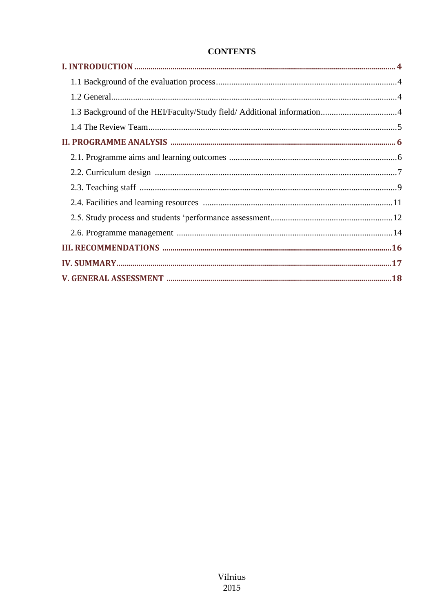## **CONTENTS**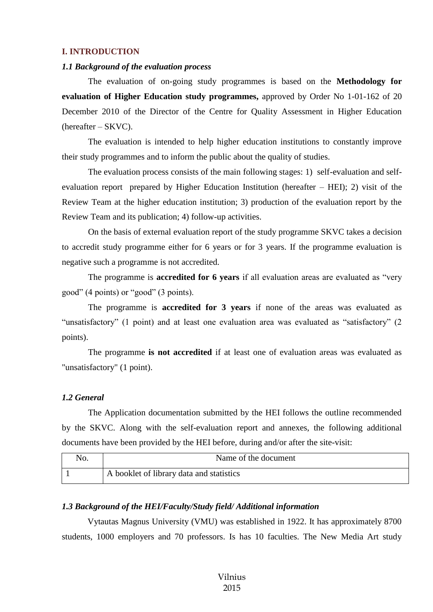### <span id="page-3-0"></span>**I. INTRODUCTION**

#### <span id="page-3-1"></span>*1.1 Background of the evaluation process*

The evaluation of on-going study programmes is based on the **Methodology for evaluation of Higher Education study programmes,** approved by Order No 1-01-162 of 20 December 2010 of the Director of the Centre for Quality Assessment in Higher Education (hereafter – SKVC).

The evaluation is intended to help higher education institutions to constantly improve their study programmes and to inform the public about the quality of studies.

The evaluation process consists of the main following stages: 1) self-evaluation and selfevaluation report prepared by Higher Education Institution (hereafter – HEI); 2) visit of the Review Team at the higher education institution; 3) production of the evaluation report by the Review Team and its publication; 4) follow-up activities.

On the basis of external evaluation report of the study programme SKVC takes a decision to accredit study programme either for 6 years or for 3 years. If the programme evaluation is negative such a programme is not accredited.

The programme is **accredited for 6 years** if all evaluation areas are evaluated as "very good" (4 points) or "good" (3 points).

The programme is **accredited for 3 years** if none of the areas was evaluated as "unsatisfactory" (1 point) and at least one evaluation area was evaluated as "satisfactory" (2 points).

The programme **is not accredited** if at least one of evaluation areas was evaluated as "unsatisfactory" (1 point).

#### <span id="page-3-2"></span>*1.2 General*

The Application documentation submitted by the HEI follows the outline recommended by the SKVC. Along with the self-evaluation report and annexes, the following additional documents have been provided by the HEI before, during and/or after the site-visit:

| No. | Name of the document                     |
|-----|------------------------------------------|
|     | A booklet of library data and statistics |

### <span id="page-3-3"></span>*1.3 Background of the HEI/Faculty/Study field/ Additional information*

Vytautas Magnus University (VMU) was established in 1922. It has approximately 8700 students, 1000 employers and 70 professors. Is has 10 faculties. The New Media Art study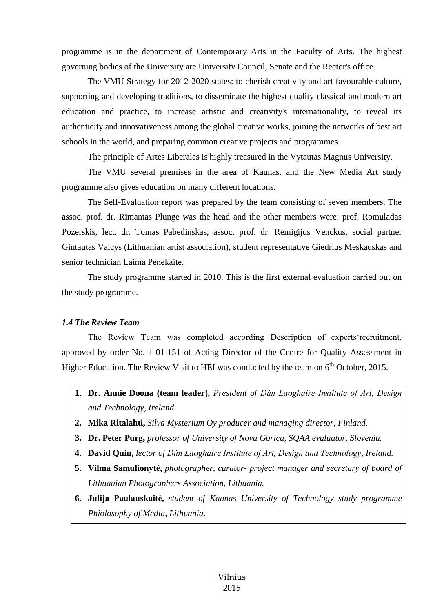programme is in the department of Contemporary Arts in the Faculty of Arts. The highest governing bodies of the University are University Council, Senate and the Rector's office.

The VMU Strategy for 2012-2020 states: to cherish creativity and art favourable culture, supporting and developing traditions, to disseminate the highest quality classical and modern art education and practice, to increase artistic and creativity's internationality, to reveal its authenticity and innovativeness among the global creative works, joining the networks of best art schools in the world, and preparing common creative projects and programmes.

The principle of Artes Liberales is highly treasured in the Vytautas Magnus University.

The VMU several premises in the area of Kaunas, and the New Media Art study programme also gives education on many different locations.

The Self-Evaluation report was prepared by the team consisting of seven members. The assoc. prof. dr. Rimantas Plunge was the head and the other members were: prof. Romuladas Pozerskis, lect. dr. Tomas Pabedinskas, assoc. prof. dr. Remigijus Venckus, social partner Gintautas Vaicys (Lithuanian artist association), student representative Giedrius Meskauskas and senior technician Laima Penekaite.

The study programme started in 2010. This is the first external evaluation carried out on the study programme.

#### <span id="page-4-0"></span>*1.4 The Review Team*

The Review Team was completed according Description of experts'recruitment, approved by order No. 1-01-151 of Acting Director of the Centre for Quality Assessment in Higher Education. The Review Visit to HEI was conducted by the team on 6<sup>th</sup> October, 2015.

- **1. Dr. Annie Doona (team leader),** *President of Dún Laoghaire Institute of Art, Design and Technology, Ireland.*
- **2. Mika Ritalahti,** *Silva Mysterium Oy producer and managing director, Finland.*
- **3. Dr. Peter Purg,** *professor of University of Nova Gorica, SQAA evaluator, Slovenia.*
- **4. David Quin,** *lector of Dún Laoghaire Institute of Art, Design and Technology, Ireland.*
- **5. Vilma Samulionytė,** *photographer, curator- project manager and secretary of board of Lithuanian Photographers Association, Lithuania.*
- **6. Julija Paulauskaitė,** *student of Kaunas University of Technology study programme Phiolosophy of Media, Lithuania*.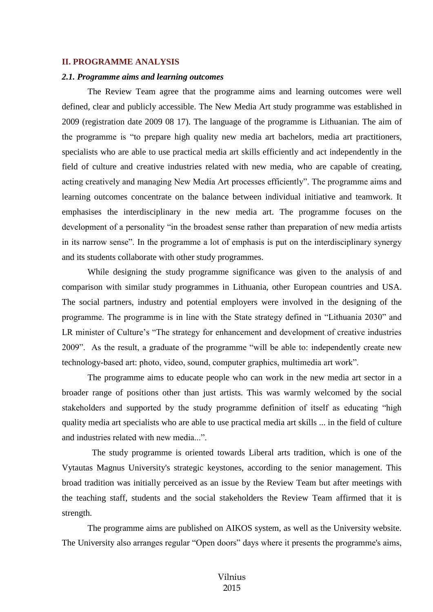#### <span id="page-5-0"></span>**II. PROGRAMME ANALYSIS**

#### <span id="page-5-1"></span>*2.1. Programme aims and learning outcomes*

The Review Team agree that the programme aims and learning outcomes were well defined, clear and publicly accessible. The New Media Art study programme was established in 2009 (registration date 2009 08 17). The language of the programme is Lithuanian. The aim of the programme is "to prepare high quality new media art bachelors, media art practitioners, specialists who are able to use practical media art skills efficiently and act independently in the field of culture and creative industries related with new media, who are capable of creating, acting creatively and managing New Media Art processes efficiently". The programme aims and learning outcomes concentrate on the balance between individual initiative and teamwork. It emphasises the interdisciplinary in the new media art. The programme focuses on the development of a personality "in the broadest sense rather than preparation of new media artists in its narrow sense". In the programme a lot of emphasis is put on the interdisciplinary synergy and its students collaborate with other study programmes.

While designing the study programme significance was given to the analysis of and comparison with similar study programmes in Lithuania, other European countries and USA. The social partners, industry and potential employers were involved in the designing of the programme. The programme is in line with the State strategy defined in "Lithuania 2030" and LR minister of Culture's "The strategy for enhancement and development of creative industries 2009". As the result, a graduate of the programme "will be able to: independently create new technology-based art: photo, video, sound, computer graphics, multimedia art work".

The programme aims to educate people who can work in the new media art sector in a broader range of positions other than just artists. This was warmly welcomed by the social stakeholders and supported by the study programme definition of itself as educating "high quality media art specialists who are able to use practical media art skills ... in the field of culture and industries related with new media...".

 The study programme is oriented towards Liberal arts tradition, which is one of the Vytautas Magnus University's strategic keystones, according to the senior management. This broad tradition was initially perceived as an issue by the Review Team but after meetings with the teaching staff, students and the social stakeholders the Review Team affirmed that it is strength.

The programme aims are published on AIKOS system, as well as the University website. The University also arranges regular "Open doors" days where it presents the programme's aims,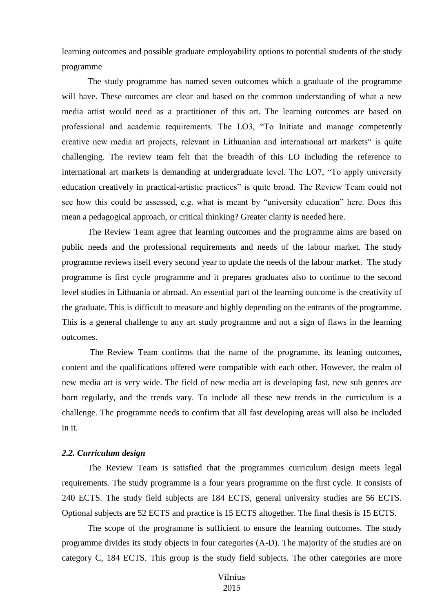learning outcomes and possible graduate employability options to potential students of the study programme

The study programme has named seven outcomes which a graduate of the programme will have. These outcomes are clear and based on the common understanding of what a new media artist would need as a practitioner of this art. The learning outcomes are based on professional and academic requirements. The LO3, "To Initiate and manage competently creative new media art projects, relevant in Lithuanian and international art markets" is quite challenging. The review team felt that the breadth of this LO including the reference to international art markets is demanding at undergraduate level. The LO7, "To apply university education creatively in practical-artistic practices" is quite broad. The Review Team could not see how this could be assessed, e.g. what is meant by "university education" here. Does this mean a pedagogical approach, or critical thinking? Greater clarity is needed here.

The Review Team agree that learning outcomes and the programme aims are based on public needs and the professional requirements and needs of the labour market. The study programme reviews itself every second year to update the needs of the labour market. The study programme is first cycle programme and it prepares graduates also to continue to the second level studies in Lithuania or abroad. An essential part of the learning outcome is the creativity of the graduate. This is difficult to measure and highly depending on the entrants of the programme. This is a general challenge to any art study programme and not a sign of flaws in the learning outcomes.

The Review Team confirms that the name of the programme, its leaning outcomes, content and the qualifications offered were compatible with each other. However, the realm of new media art is very wide. The field of new media art is developing fast, new sub genres are born regularly, and the trends vary. To include all these new trends in the curriculum is a challenge. The programme needs to confirm that all fast developing areas will also be included in it.

#### <span id="page-6-0"></span>*2.2. Curriculum design*

The Review Team is satisfied that the programmes curriculum design meets legal requirements. The study programme is a four years programme on the first cycle. It consists of 240 ECTS. The study field subjects are 184 ECTS, general university studies are 56 ECTS. Optional subjects are 52 ECTS and practice is 15 ECTS altogether. The final thesis is 15 ECTS.

The scope of the programme is sufficient to ensure the learning outcomes. The study programme divides its study objects in four categories (A-D). The majority of the studies are on category C, 184 ECTS. This group is the study field subjects. The other categories are more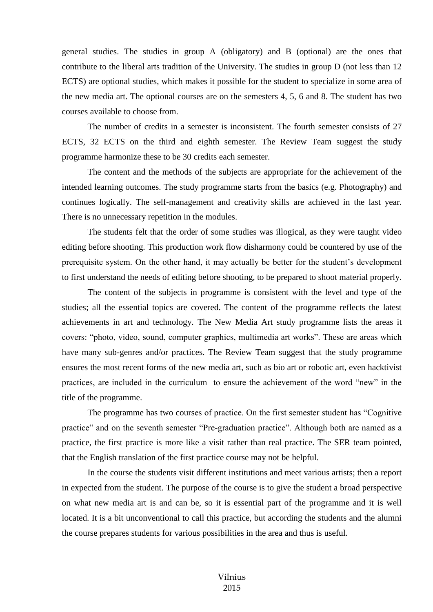general studies. The studies in group A (obligatory) and B (optional) are the ones that contribute to the liberal arts tradition of the University. The studies in group D (not less than 12 ECTS) are optional studies, which makes it possible for the student to specialize in some area of the new media art. The optional courses are on the semesters 4, 5, 6 and 8. The student has two courses available to choose from.

The number of credits in a semester is inconsistent. The fourth semester consists of 27 ECTS, 32 ECTS on the third and eighth semester. The Review Team suggest the study programme harmonize these to be 30 credits each semester.

The content and the methods of the subjects are appropriate for the achievement of the intended learning outcomes. The study programme starts from the basics (e.g. Photography) and continues logically. The self-management and creativity skills are achieved in the last year. There is no unnecessary repetition in the modules.

The students felt that the order of some studies was illogical, as they were taught video editing before shooting. This production work flow disharmony could be countered by use of the prerequisite system. On the other hand, it may actually be better for the student's development to first understand the needs of editing before shooting, to be prepared to shoot material properly.

The content of the subjects in programme is consistent with the level and type of the studies; all the essential topics are covered. The content of the programme reflects the latest achievements in art and technology. The New Media Art study programme lists the areas it covers: "photo, video, sound, computer graphics, multimedia art works". These are areas which have many sub-genres and/or practices. The Review Team suggest that the study programme ensures the most recent forms of the new media art, such as bio art or robotic art, even hacktivist practices, are included in the curriculum to ensure the achievement of the word "new" in the title of the programme.

The programme has two courses of practice. On the first semester student has "Cognitive practice" and on the seventh semester "Pre-graduation practice". Although both are named as a practice, the first practice is more like a visit rather than real practice. The SER team pointed, that the English translation of the first practice course may not be helpful.

In the course the students visit different institutions and meet various artists; then a report in expected from the student. The purpose of the course is to give the student a broad perspective on what new media art is and can be, so it is essential part of the programme and it is well located. It is a bit unconventional to call this practice, but according the students and the alumni the course prepares students for various possibilities in the area and thus is useful.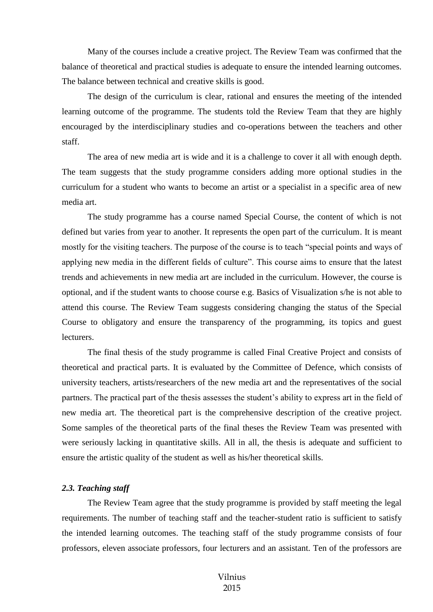Many of the courses include a creative project. The Review Team was confirmed that the balance of theoretical and practical studies is adequate to ensure the intended learning outcomes. The balance between technical and creative skills is good.

The design of the curriculum is clear, rational and ensures the meeting of the intended learning outcome of the programme. The students told the Review Team that they are highly encouraged by the interdisciplinary studies and co-operations between the teachers and other staff.

The area of new media art is wide and it is a challenge to cover it all with enough depth. The team suggests that the study programme considers adding more optional studies in the curriculum for a student who wants to become an artist or a specialist in a specific area of new media art.

The study programme has a course named Special Course, the content of which is not defined but varies from year to another. It represents the open part of the curriculum. It is meant mostly for the visiting teachers. The purpose of the course is to teach "special points and ways of applying new media in the different fields of culture". This course aims to ensure that the latest trends and achievements in new media art are included in the curriculum. However, the course is optional, and if the student wants to choose course e.g. Basics of Visualization s/he is not able to attend this course. The Review Team suggests considering changing the status of the Special Course to obligatory and ensure the transparency of the programming, its topics and guest **lecturers** 

The final thesis of the study programme is called Final Creative Project and consists of theoretical and practical parts. It is evaluated by the Committee of Defence, which consists of university teachers, artists/researchers of the new media art and the representatives of the social partners. The practical part of the thesis assesses the student's ability to express art in the field of new media art. The theoretical part is the comprehensive description of the creative project. Some samples of the theoretical parts of the final theses the Review Team was presented with were seriously lacking in quantitative skills. All in all, the thesis is adequate and sufficient to ensure the artistic quality of the student as well as his/her theoretical skills.

#### <span id="page-8-0"></span>*2.3. Teaching staff*

The Review Team agree that the study programme is provided by staff meeting the legal requirements. The number of teaching staff and the teacher-student ratio is sufficient to satisfy the intended learning outcomes. The teaching staff of the study programme consists of four professors, eleven associate professors, four lecturers and an assistant. Ten of the professors are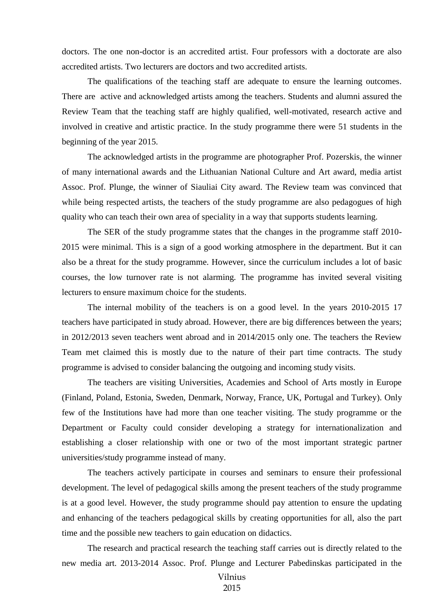doctors. The one non-doctor is an accredited artist. Four professors with a doctorate are also accredited artists. Two lecturers are doctors and two accredited artists.

The qualifications of the teaching staff are adequate to ensure the learning outcomes. There are active and acknowledged artists among the teachers. Students and alumni assured the Review Team that the teaching staff are highly qualified, well-motivated, research active and involved in creative and artistic practice. In the study programme there were 51 students in the beginning of the year 2015.

The acknowledged artists in the programme are photographer Prof. Pozerskis, the winner of many international awards and the Lithuanian National Culture and Art award, media artist Assoc. Prof. Plunge, the winner of Siauliai City award. The Review team was convinced that while being respected artists, the teachers of the study programme are also pedagogues of high quality who can teach their own area of speciality in a way that supports students learning.

The SER of the study programme states that the changes in the programme staff 2010- 2015 were minimal. This is a sign of a good working atmosphere in the department. But it can also be a threat for the study programme. However, since the curriculum includes a lot of basic courses, the low turnover rate is not alarming. The programme has invited several visiting lecturers to ensure maximum choice for the students.

The internal mobility of the teachers is on a good level. In the years 2010-2015 17 teachers have participated in study abroad. However, there are big differences between the years; in 2012/2013 seven teachers went abroad and in 2014/2015 only one. The teachers the Review Team met claimed this is mostly due to the nature of their part time contracts. The study programme is advised to consider balancing the outgoing and incoming study visits.

The teachers are visiting Universities, Academies and School of Arts mostly in Europe (Finland, Poland, Estonia, Sweden, Denmark, Norway, France, UK, Portugal and Turkey). Only few of the Institutions have had more than one teacher visiting. The study programme or the Department or Faculty could consider developing a strategy for internationalization and establishing a closer relationship with one or two of the most important strategic partner universities/study programme instead of many.

The teachers actively participate in courses and seminars to ensure their professional development. The level of pedagogical skills among the present teachers of the study programme is at a good level. However, the study programme should pay attention to ensure the updating and enhancing of the teachers pedagogical skills by creating opportunities for all, also the part time and the possible new teachers to gain education on didactics.

The research and practical research the teaching staff carries out is directly related to the new media art. 2013-2014 Assoc. Prof. Plunge and Lecturer Pabedinskas participated in the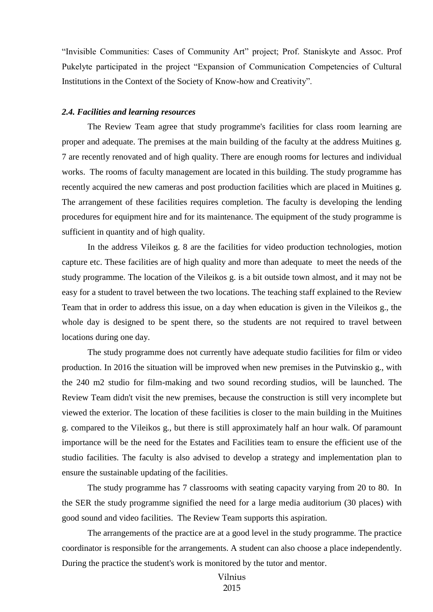"Invisible Communities: Cases of Community Art" project; Prof. Staniskyte and Assoc. Prof Pukelyte participated in the project "Expansion of Communication Competencies of Cultural Institutions in the Context of the Society of Know-how and Creativity".

#### <span id="page-10-0"></span>*2.4. Facilities and learning resources*

The Review Team agree that study programme's facilities for class room learning are proper and adequate. The premises at the main building of the faculty at the address Muitines g. 7 are recently renovated and of high quality. There are enough rooms for lectures and individual works. The rooms of faculty management are located in this building. The study programme has recently acquired the new cameras and post production facilities which are placed in Muitines g. The arrangement of these facilities requires completion. The faculty is developing the lending procedures for equipment hire and for its maintenance. The equipment of the study programme is sufficient in quantity and of high quality.

In the address Vileikos g. 8 are the facilities for video production technologies, motion capture etc. These facilities are of high quality and more than adequate to meet the needs of the study programme. The location of the Vileikos g. is a bit outside town almost, and it may not be easy for a student to travel between the two locations. The teaching staff explained to the Review Team that in order to address this issue, on a day when education is given in the Vileikos g., the whole day is designed to be spent there, so the students are not required to travel between locations during one day.

The study programme does not currently have adequate studio facilities for film or video production. In 2016 the situation will be improved when new premises in the Putvinskio g., with the 240 m2 studio for film-making and two sound recording studios, will be launched. The Review Team didn't visit the new premises, because the construction is still very incomplete but viewed the exterior. The location of these facilities is closer to the main building in the Muitines g. compared to the Vileikos g., but there is still approximately half an hour walk. Of paramount importance will be the need for the Estates and Facilities team to ensure the efficient use of the studio facilities. The faculty is also advised to develop a strategy and implementation plan to ensure the sustainable updating of the facilities.

The study programme has 7 classrooms with seating capacity varying from 20 to 80. In the SER the study programme signified the need for a large media auditorium (30 places) with good sound and video facilities. The Review Team supports this aspiration.

The arrangements of the practice are at a good level in the study programme. The practice coordinator is responsible for the arrangements. A student can also choose a place independently. During the practice the student's work is monitored by the tutor and mentor.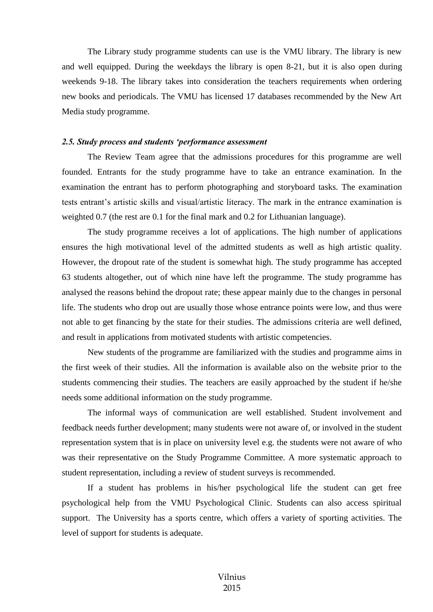The Library study programme students can use is the VMU library. The library is new and well equipped. During the weekdays the library is open 8-21, but it is also open during weekends 9-18. The library takes into consideration the teachers requirements when ordering new books and periodicals. The VMU has licensed 17 databases recommended by the New Art Media study programme.

#### <span id="page-11-0"></span>*2.5. Study process and students 'performance assessment*

The Review Team agree that the admissions procedures for this programme are well founded. Entrants for the study programme have to take an entrance examination. In the examination the entrant has to perform photographing and storyboard tasks. The examination tests entrant's artistic skills and visual/artistic literacy. The mark in the entrance examination is weighted 0.7 (the rest are 0.1 for the final mark and 0.2 for Lithuanian language).

The study programme receives a lot of applications. The high number of applications ensures the high motivational level of the admitted students as well as high artistic quality. However, the dropout rate of the student is somewhat high. The study programme has accepted 63 students altogether, out of which nine have left the programme. The study programme has analysed the reasons behind the dropout rate; these appear mainly due to the changes in personal life. The students who drop out are usually those whose entrance points were low, and thus were not able to get financing by the state for their studies. The admissions criteria are well defined, and result in applications from motivated students with artistic competencies.

New students of the programme are familiarized with the studies and programme aims in the first week of their studies. All the information is available also on the website prior to the students commencing their studies. The teachers are easily approached by the student if he/she needs some additional information on the study programme.

The informal ways of communication are well established. Student involvement and feedback needs further development; many students were not aware of, or involved in the student representation system that is in place on university level e.g. the students were not aware of who was their representative on the Study Programme Committee. A more systematic approach to student representation, including a review of student surveys is recommended.

If a student has problems in his/her psychological life the student can get free psychological help from the VMU Psychological Clinic. Students can also access spiritual support. The University has a sports centre, which offers a variety of sporting activities. The level of support for students is adequate.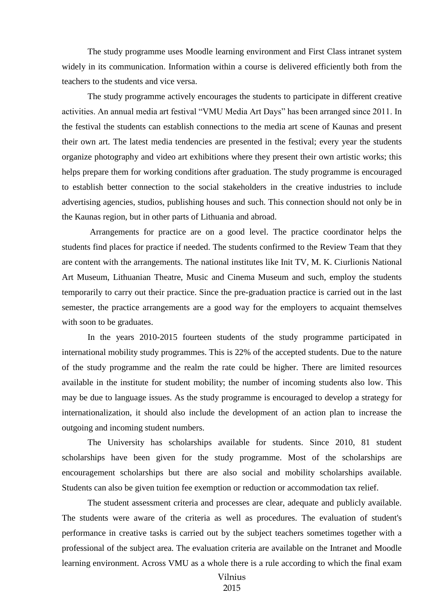The study programme uses Moodle learning environment and First Class intranet system widely in its communication. Information within a course is delivered efficiently both from the teachers to the students and vice versa.

The study programme actively encourages the students to participate in different creative activities. An annual media art festival "VMU Media Art Days" has been arranged since 2011. In the festival the students can establish connections to the media art scene of Kaunas and present their own art. The latest media tendencies are presented in the festival; every year the students organize photography and video art exhibitions where they present their own artistic works; this helps prepare them for working conditions after graduation. The study programme is encouraged to establish better connection to the social stakeholders in the creative industries to include advertising agencies, studios, publishing houses and such. This connection should not only be in the Kaunas region, but in other parts of Lithuania and abroad.

Arrangements for practice are on a good level. The practice coordinator helps the students find places for practice if needed. The students confirmed to the Review Team that they are content with the arrangements. The national institutes like Init TV, M. K. Ciurlionis National Art Museum, Lithuanian Theatre, Music and Cinema Museum and such, employ the students temporarily to carry out their practice. Since the pre-graduation practice is carried out in the last semester, the practice arrangements are a good way for the employers to acquaint themselves with soon to be graduates.

In the years 2010-2015 fourteen students of the study programme participated in international mobility study programmes. This is 22% of the accepted students. Due to the nature of the study programme and the realm the rate could be higher. There are limited resources available in the institute for student mobility; the number of incoming students also low. This may be due to language issues. As the study programme is encouraged to develop a strategy for internationalization, it should also include the development of an action plan to increase the outgoing and incoming student numbers.

The University has scholarships available for students. Since 2010, 81 student scholarships have been given for the study programme. Most of the scholarships are encouragement scholarships but there are also social and mobility scholarships available. Students can also be given tuition fee exemption or reduction or accommodation tax relief.

The student assessment criteria and processes are clear, adequate and publicly available. The students were aware of the criteria as well as procedures. The evaluation of student's performance in creative tasks is carried out by the subject teachers sometimes together with a professional of the subject area. The evaluation criteria are available on the Intranet and Moodle learning environment. Across VMU as a whole there is a rule according to which the final exam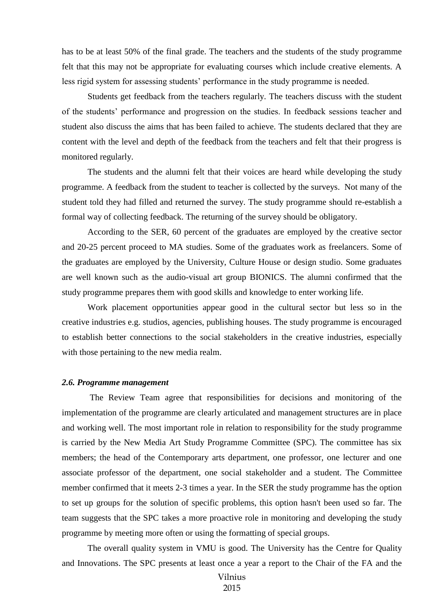has to be at least 50% of the final grade. The teachers and the students of the study programme felt that this may not be appropriate for evaluating courses which include creative elements. A less rigid system for assessing students' performance in the study programme is needed.

Students get feedback from the teachers regularly. The teachers discuss with the student of the students' performance and progression on the studies. In feedback sessions teacher and student also discuss the aims that has been failed to achieve. The students declared that they are content with the level and depth of the feedback from the teachers and felt that their progress is monitored regularly.

The students and the alumni felt that their voices are heard while developing the study programme. A feedback from the student to teacher is collected by the surveys. Not many of the student told they had filled and returned the survey. The study programme should re-establish a formal way of collecting feedback. The returning of the survey should be obligatory.

According to the SER, 60 percent of the graduates are employed by the creative sector and 20-25 percent proceed to MA studies. Some of the graduates work as freelancers. Some of the graduates are employed by the University, Culture House or design studio. Some graduates are well known such as the audio-visual art group BIONICS. The alumni confirmed that the study programme prepares them with good skills and knowledge to enter working life.

Work placement opportunities appear good in the cultural sector but less so in the creative industries e.g. studios, agencies, publishing houses. The study programme is encouraged to establish better connections to the social stakeholders in the creative industries, especially with those pertaining to the new media realm.

#### <span id="page-13-0"></span>*2.6. Programme management*

The Review Team agree that responsibilities for decisions and monitoring of the implementation of the programme are clearly articulated and management structures are in place and working well. The most important role in relation to responsibility for the study programme is carried by the New Media Art Study Programme Committee (SPC). The committee has six members; the head of the Contemporary arts department, one professor, one lecturer and one associate professor of the department, one social stakeholder and a student. The Committee member confirmed that it meets 2-3 times a year. In the SER the study programme has the option to set up groups for the solution of specific problems, this option hasn't been used so far. The team suggests that the SPC takes a more proactive role in monitoring and developing the study programme by meeting more often or using the formatting of special groups.

The overall quality system in VMU is good. The University has the Centre for Quality and Innovations. The SPC presents at least once a year a report to the Chair of the FA and the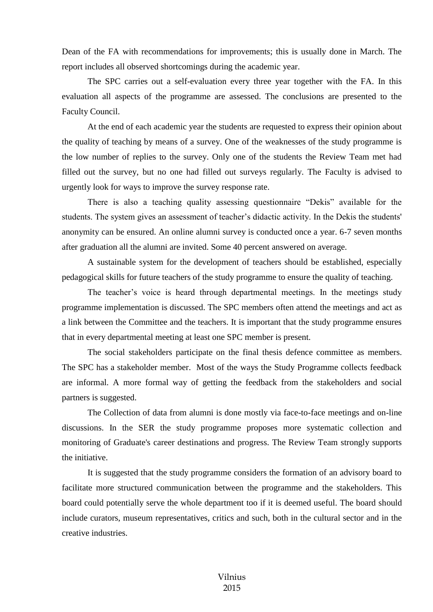Dean of the FA with recommendations for improvements; this is usually done in March. The report includes all observed shortcomings during the academic year.

The SPC carries out a self-evaluation every three year together with the FA. In this evaluation all aspects of the programme are assessed. The conclusions are presented to the Faculty Council.

At the end of each academic year the students are requested to express their opinion about the quality of teaching by means of a survey. One of the weaknesses of the study programme is the low number of replies to the survey. Only one of the students the Review Team met had filled out the survey, but no one had filled out surveys regularly. The Faculty is advised to urgently look for ways to improve the survey response rate.

There is also a teaching quality assessing questionnaire "Dekis" available for the students. The system gives an assessment of teacher's didactic activity. In the Dekis the students' anonymity can be ensured. An online alumni survey is conducted once a year. 6-7 seven months after graduation all the alumni are invited. Some 40 percent answered on average.

A sustainable system for the development of teachers should be established, especially pedagogical skills for future teachers of the study programme to ensure the quality of teaching.

The teacher's voice is heard through departmental meetings. In the meetings study programme implementation is discussed. The SPC members often attend the meetings and act as a link between the Committee and the teachers. It is important that the study programme ensures that in every departmental meeting at least one SPC member is present.

The social stakeholders participate on the final thesis defence committee as members. The SPC has a stakeholder member. Most of the ways the Study Programme collects feedback are informal. A more formal way of getting the feedback from the stakeholders and social partners is suggested.

The Collection of data from alumni is done mostly via face-to-face meetings and on-line discussions. In the SER the study programme proposes more systematic collection and monitoring of Graduate's career destinations and progress. The Review Team strongly supports the initiative.

It is suggested that the study programme considers the formation of an advisory board to facilitate more structured communication between the programme and the stakeholders. This board could potentially serve the whole department too if it is deemed useful. The board should include curators, museum representatives, critics and such, both in the cultural sector and in the creative industries.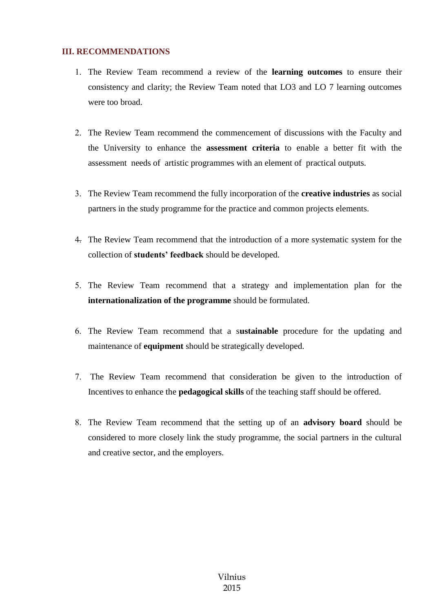## <span id="page-15-0"></span>**III. RECOMMENDATIONS**

- The Review Team recommend a review of the **learning outcomes** to ensure their consistency and clarity; the Review Team noted that LO3 and LO 7 learning outcomes were too broad.
- The Review Team recommend the commencement of discussions with the Faculty and the University to enhance the **assessment criteria** to enable a better fit with the assessment needs of artistic programmes with an element of practical outputs.
- The Review Team recommend the fully incorporation of the **creative industries** as social partners in the study programme for the practice and common projects elements.
- The Review Team recommend that the introduction of a more systematic system for the collection of **students' feedback** should be developed.
- The Review Team recommend that a strategy and implementation plan for the **internationalization of the programme** should be formulated.
- The Review Team recommend that a s**ustainable** procedure for the updating and maintenance of **equipment** should be strategically developed.
- The Review Team recommend that consideration be given to the introduction of Incentives to enhance the **pedagogical skills** of the teaching staff should be offered.
- The Review Team recommend that the setting up of an **advisory board** should be considered to more closely link the study programme, the social partners in the cultural and creative sector, and the employers.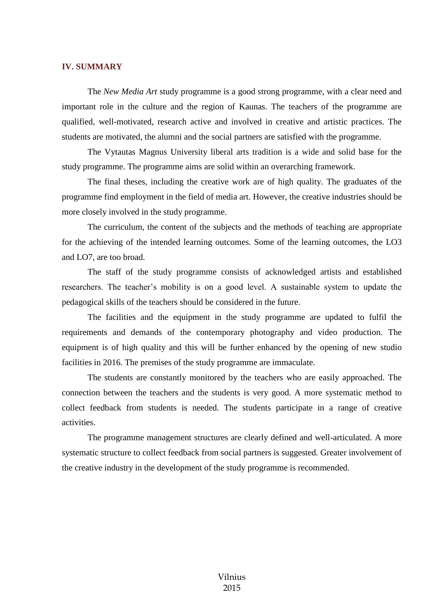#### <span id="page-16-0"></span>**IV. SUMMARY**

The *New Media Art* study programme is a good strong programme, with a clear need and important role in the culture and the region of Kaunas. The teachers of the programme are qualified, well-motivated, research active and involved in creative and artistic practices. The students are motivated, the alumni and the social partners are satisfied with the programme.

The Vytautas Magnus University liberal arts tradition is a wide and solid base for the study programme. The programme aims are solid within an overarching framework.

The final theses, including the creative work are of high quality. The graduates of the programme find employment in the field of media art. However, the creative industries should be more closely involved in the study programme.

The curriculum, the content of the subjects and the methods of teaching are appropriate for the achieving of the intended learning outcomes. Some of the learning outcomes, the LO3 and LO7, are too broad.

The staff of the study programme consists of acknowledged artists and established researchers. The teacher's mobility is on a good level. A sustainable system to update the pedagogical skills of the teachers should be considered in the future.

The facilities and the equipment in the study programme are updated to fulfil the requirements and demands of the contemporary photography and video production. The equipment is of high quality and this will be further enhanced by the opening of new studio facilities in 2016. The premises of the study programme are immaculate.

The students are constantly monitored by the teachers who are easily approached. The connection between the teachers and the students is very good. A more systematic method to collect feedback from students is needed. The students participate in a range of creative activities.

The programme management structures are clearly defined and well-articulated. A more systematic structure to collect feedback from social partners is suggested. Greater involvement of the creative industry in the development of the study programme is recommended.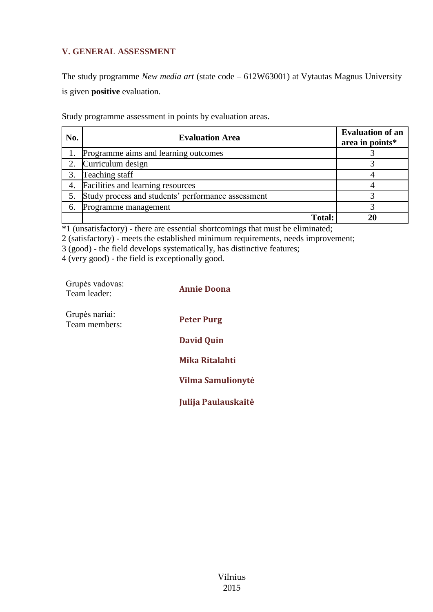## **V. GENERAL ASSESSMENT**

The study programme *New media art* (state code – 612W63001) at Vytautas Magnus University is given **positive** evaluation.

Study programme assessment in points by evaluation areas.

| No. | <b>Evaluation Area</b>                             | <b>Evaluation of an</b><br>area in points* |
|-----|----------------------------------------------------|--------------------------------------------|
|     | Programme aims and learning outcomes               |                                            |
|     | Curriculum design                                  |                                            |
|     | Teaching staff                                     |                                            |
| 4.  | Facilities and learning resources                  |                                            |
|     | Study process and students' performance assessment |                                            |
| 6.  | Programme management                               |                                            |
|     | <b>Total:</b>                                      |                                            |

\*1 (unsatisfactory) - there are essential shortcomings that must be eliminated;

2 (satisfactory) - meets the established minimum requirements, needs improvement;

3 (good) - the field develops systematically, has distinctive features;

4 (very good) - the field is exceptionally good.

| Grupės vadovas:<br>Team leader: | <b>Annie Doona</b>       |
|---------------------------------|--------------------------|
| Grupės nariai:<br>Team members: | <b>Peter Purg</b>        |
|                                 | <b>David Quin</b>        |
|                                 | Mika Ritalahti           |
|                                 | <b>Vilma Samulionytė</b> |
|                                 | Julija Paulauskaitė      |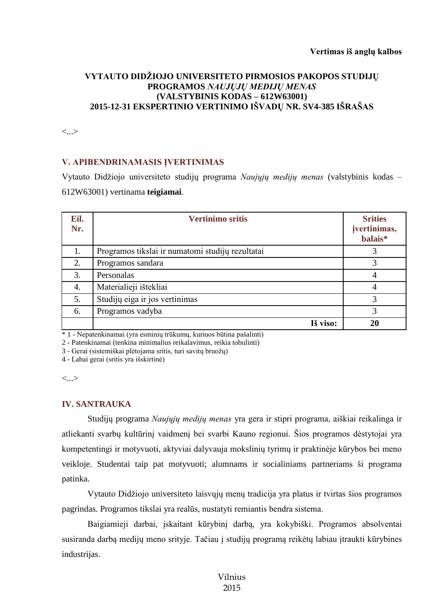## **VYTAUTO DIDŽIOJO UNIVERSITETO PIRMOSIOS PAKOPOS STUDIJŲ PROGRAMOS** *NAUJŲJŲ MEDIJŲ MENAS* **(VALSTYBINIS KODAS – 612W63001) 2015-12-31 EKSPERTINIO VERTINIMO IŠVADŲ NR. SV4-385 IŠRAŠAS**

<...>

## **V. APIBENDRINAMASIS ĮVERTINIMAS**

Vytauto Didžiojo universiteto studijų programa *Naujųjų medijų menas* (valstybinis kodas – 612W63001) vertinama **teigiamai**.

| Eil.<br>Nr. | <b>Vertinimo sritis</b>                          | <b>Srities</b><br>jvertinimas,<br>balais* |
|-------------|--------------------------------------------------|-------------------------------------------|
| 1.          | Programos tikslai ir numatomi studijų rezultatai |                                           |
| 2.          | Programos sandara                                | 3                                         |
| 3.          | Personalas                                       | 4                                         |
| 4.          | Materialieji ištekliai                           | $\overline{4}$                            |
| 5.          | Studijų eiga ir jos vertinimas                   | 3                                         |
| 6.          | Programos vadyba                                 | 3                                         |
|             | Iš viso:                                         | 20                                        |

\* 1 - Nepatenkinamai (yra esminių trūkumų, kuriuos būtina pašalinti)

2 - Patenkinamai (tenkina minimalius reikalavimus, reikia tobulinti)

3 - Gerai (sistemiškai plėtojama sritis, turi savitų bruožų)

4 - Labai gerai (sritis yra išskirtinė)

<...>

#### **IV. SANTRAUKA**

Studijų programa *Naujųjų medijų menas* yra gera ir stipri programa, aiškiai reikalinga ir atliekanti svarbų kultūrinį vaidmenį bei svarbi Kauno regionui. Šios programos dėstytojai yra kompetentingi ir motyvuoti, aktyviai dalyvauja mokslinių tyrimų ir praktinėje kūrybos bei meno veikloje. Studentai taip pat motyvuoti; alumnams ir socialiniams partneriams ši programa patinka.

Vytauto Didžiojo universiteto laisvųjų menų tradicija yra platus ir tvirtas šios programos pagrindas. Programos tikslai yra realūs, nustatyti remiantis bendra sistema.

Baigiamieji darbai, įskaitant kūrybinį darbą, yra kokybiški. Programos absolventai susiranda darbą medijų meno srityje. Tačiau į studijų programą reikėtų labiau įtraukti kūrybines industrijas.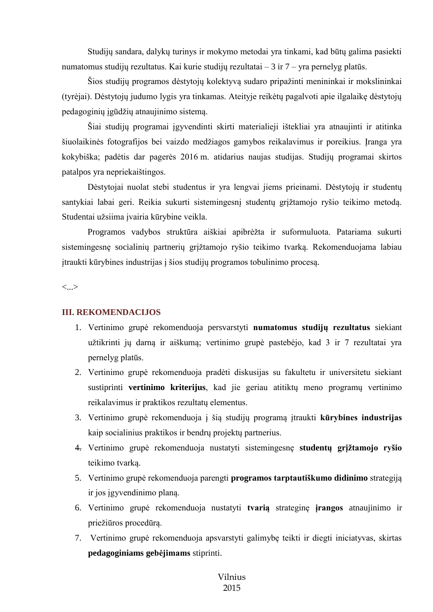Studijų sandara, dalykų turinys ir mokymo metodai yra tinkami, kad būtų galima pasiekti numatomus studijų rezultatus. Kai kurie studijų rezultatai – 3 ir 7 – yra pernelyg platūs.

Šios studijų programos dėstytojų kolektyvą sudaro pripažinti menininkai ir mokslininkai (tyrėjai). Dėstytojų judumo lygis yra tinkamas. Ateityje reikėtų pagalvoti apie ilgalaikę dėstytojų pedagoginių įgūdžių atnaujinimo sistemą.

Šiai studijų programai įgyvendinti skirti materialieji ištekliai yra atnaujinti ir atitinka šiuolaikinės fotografijos bei vaizdo medžiagos gamybos reikalavimus ir poreikius. Įranga yra kokybiška; padėtis dar pagerės 2016 m. atidarius naujas studijas. Studijų programai skirtos patalpos yra nepriekaištingos.

Dėstytojai nuolat stebi studentus ir yra lengvai jiems prieinami. Dėstytojų ir studentų santykiai labai geri. Reikia sukurti sistemingesnį studentų grįžtamojo ryšio teikimo metodą. Studentai užsiima įvairia kūrybine veikla.

Programos vadybos struktūra aiškiai apibrėžta ir suformuluota. Patariama sukurti sistemingesnę socialinių partnerių grįžtamojo ryšio teikimo tvarką. Rekomenduojama labiau įtraukti kūrybines industrijas į šios studijų programos tobulinimo procesą.

<...>

#### **III. REKOMENDACIJOS**

- 1. Vertinimo grupė rekomenduoja persvarstyti **numatomus studijų rezultatus** siekiant užtikrinti jų darną ir aiškumą; vertinimo grupė pastebėjo, kad 3 ir 7 rezultatai yra pernelyg platūs.
- 2. Vertinimo grupė rekomenduoja pradėti diskusijas su fakultetu ir universitetu siekiant sustiprinti **vertinimo kriterijus**, kad jie geriau atitiktų meno programų vertinimo reikalavimus ir praktikos rezultatų elementus.
- 3. Vertinimo grupė rekomenduoja į šią studijų programą įtraukti **kūrybines industrijas** kaip socialinius praktikos ir bendrų projektų partnerius.
- 4. Vertinimo grupė rekomenduoja nustatyti sistemingesnę **studentų grįžtamojo ryšio**  teikimo tvarką.
- 5. Vertinimo grupė rekomenduoja parengti **programos tarptautiškumo didinimo** strategiją ir jos įgyvendinimo planą.
- 6. Vertinimo grupė rekomenduoja nustatyti **tvarią** strateginę **įrangos** atnaujinimo ir priežiūros procedūrą.
- 7. Vertinimo grupė rekomenduoja apsvarstyti galimybę teikti ir diegti iniciatyvas, skirtas **pedagoginiams gebėjimams** stiprinti.